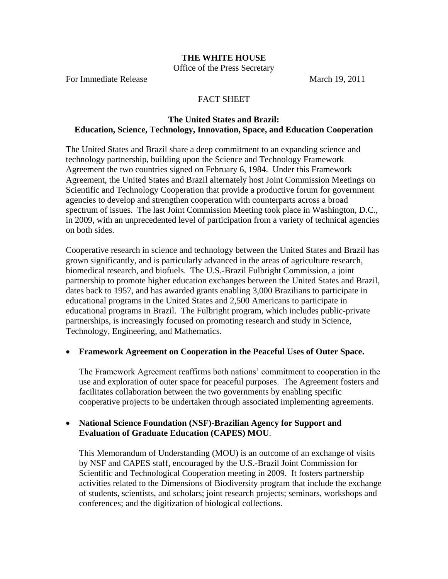#### **THE WHITE HOUSE** Office of the Press Secretary

For Immediate Release March 19, 2011

# FACT SHEET

## **The United States and Brazil: Education, Science, Technology, Innovation, Space, and Education Cooperation**

The United States and Brazil share a deep commitment to an expanding science and technology partnership, building upon the Science and Technology Framework Agreement the two countries signed on February 6, 1984. Under this Framework Agreement, the United States and Brazil alternately host Joint Commission Meetings on Scientific and Technology Cooperation that provide a productive forum for government agencies to develop and strengthen cooperation with counterparts across a broad spectrum of issues. The last Joint Commission Meeting took place in Washington, D.C., in 2009, with an unprecedented level of participation from a variety of technical agencies on both sides.

Cooperative research in science and technology between the United States and Brazil has grown significantly, and is particularly advanced in the areas of agriculture research, biomedical research, and biofuels. The U.S.-Brazil Fulbright Commission, a joint partnership to promote higher education exchanges between the United States and Brazil, dates back to 1957, and has awarded grants enabling 3,000 Brazilians to participate in educational programs in the United States and 2,500 Americans to participate in educational programs in Brazil. The Fulbright program, which includes public-private partnerships, is increasingly focused on promoting research and study in Science, Technology, Engineering, and Mathematics.

### **Framework Agreement on Cooperation in the Peaceful Uses of Outer Space.**

The Framework Agreement reaffirms both nations' commitment to cooperation in the use and exploration of outer space for peaceful purposes. The Agreement fosters and facilitates collaboration between the two governments by enabling specific cooperative projects to be undertaken through associated implementing agreements.

### **National Science Foundation (NSF)-Brazilian Agency for Support and Evaluation of Graduate Education (CAPES) MOU**.

This Memorandum of Understanding (MOU) is an outcome of an exchange of visits by NSF and CAPES staff, encouraged by the U.S.-Brazil Joint Commission for Scientific and Technological Cooperation meeting in 2009. It fosters partnership activities related to the Dimensions of Biodiversity program that include the exchange of students, scientists, and scholars; joint research projects; seminars, workshops and conferences; and the digitization of biological collections.